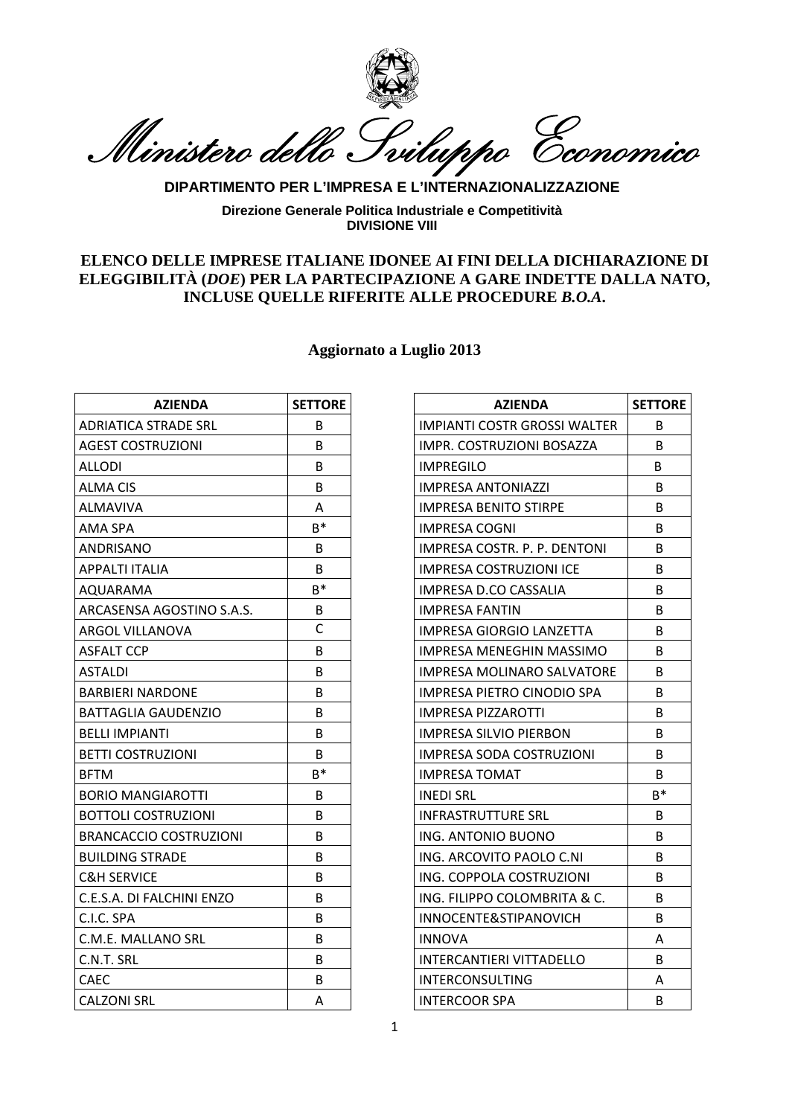

Ministero dello Sviluppo Economico

## **DIPARTIMENTO PER L'IMPRESA E L'INTERNAZIONALIZZAZIONE**

**Direzione Generale Politica Industriale e Competitività DIVISIONE VIII** 

## **ELENCO DELLE IMPRESE ITALIANE IDONEE AI FINI DELLA DICHIARAZIONE DI ELEGGIBILITÀ (***DOE***) PER LA PARTECIPAZIONE A GARE INDETTE DALLA NATO, INCLUSE QUELLE RIFERITE ALLE PROCEDURE** *B.O.A***.**

## **Aggiornato a Luglio 2013**

| <b>AZIENDA</b>                | <b>SETTORE</b> | <b>AZIENDA</b>                      | <b>SETTC</b> |
|-------------------------------|----------------|-------------------------------------|--------------|
| <b>ADRIATICA STRADE SRL</b>   | <sub>B</sub>   | <b>IMPIANTI COSTR GROSSI WALTER</b> | B            |
| <b>AGEST COSTRUZIONI</b>      | <sub>B</sub>   | IMPR. COSTRUZIONI BOSAZZA           | B            |
| ALLODI                        | <sub>B</sub>   | <b>IMPREGILO</b>                    | B.           |
| <b>ALMA CIS</b>               | B              | <b>IMPRESA ANTONIAZZI</b>           | B            |
| <b>ALMAVIVA</b>               | A              | <b>IMPRESA BENITO STIRPE</b>        | B            |
| AMA SPA                       | $B^*$          | <b>IMPRESA COGNI</b>                | B            |
| ANDRISANO                     | B              | IMPRESA COSTR. P. P. DENTONI        | B            |
| <b>APPALTI ITALIA</b>         | B              | <b>IMPRESA COSTRUZIONI ICE</b>      | B            |
| AQUARAMA                      | $B^*$          | IMPRESA D.CO CASSALIA               | B            |
| ARCASENSA AGOSTINO S.A.S.     | B              | <b>IMPRESA FANTIN</b>               | B            |
| <b>ARGOL VILLANOVA</b>        | $\mathsf{C}$   | IMPRESA GIORGIO LANZETTA            | B            |
| <b>ASFALT CCP</b>             | B              | IMPRESA MENEGHIN MASSIMO            | B            |
| <b>ASTALDI</b>                | B              | IMPRESA MOLINARO SALVATORE          | B            |
| <b>BARBIERI NARDONE</b>       | B              | <b>IMPRESA PIETRO CINODIO SPA</b>   | B            |
| BATTAGLIA GAUDENZIO           | B              | <b>IMPRESA PIZZAROTTI</b>           | B            |
| <b>BELLI IMPIANTI</b>         | B              | <b>IMPRESA SILVIO PIERBON</b>       | B            |
| <b>BETTI COSTRUZIONI</b>      | B              | IMPRESA SODA COSTRUZIONI            | B            |
| <b>BFTM</b>                   | $B^*$          | <b>IMPRESA TOMAT</b>                | B            |
| <b>BORIO MANGIAROTTI</b>      | B              | <b>INEDI SRL</b>                    | $B^*$        |
| <b>BOTTOLI COSTRUZIONI</b>    | B              | <b>INFRASTRUTTURE SRL</b>           | B            |
| <b>BRANCACCIO COSTRUZIONI</b> | B              | ING. ANTONIO BUONO                  | B            |
| <b>BUILDING STRADE</b>        | B              | ING. ARCOVITO PAOLO C.NI            | B            |
| <b>C&amp;H SERVICE</b>        | B              | ING. COPPOLA COSTRUZIONI            | B            |
| C.E.S.A. DI FALCHINI ENZO     | <sub>B</sub>   | ING. FILIPPO COLOMBRITA & C.        | B            |
| C.I.C. SPA                    | B              | INNOCENTE&STIPANOVICH               | B            |
| C.M.E. MALLANO SRL            | B              | <b>INNOVA</b>                       | A            |
| C.N.T. SRL                    | B              | <b>INTERCANTIERI VITTADELLO</b>     | B            |
| <b>CAEC</b>                   | B              | <b>INTERCONSULTING</b>              | A            |
| <b>CALZONI SRL</b>            | A              | <b>INTERCOOR SPA</b>                | B            |

| <b>AZIENDA</b>      | <b>SETTORE</b> | <b>AZIENDA</b>                      | <b>SETTORE</b> |
|---------------------|----------------|-------------------------------------|----------------|
| <b>TRADE SRL</b>    | B              | <b>IMPIANTI COSTR GROSSI WALTER</b> | B              |
| <b>RUZIONI</b>      | B.             | IMPR. COSTRUZIONI BOSAZZA           | B              |
|                     | B              | <b>IMPREGILO</b>                    | B              |
|                     | B              | <b>IMPRESA ANTONIAZZI</b>           | B              |
|                     | A              | <b>IMPRESA BENITO STIRPE</b>        | B              |
|                     | $B^*$          | <b>IMPRESA COGNI</b>                | B              |
|                     | B              | IMPRESA COSTR. P. P. DENTONI        | B              |
| .IA                 | B              | <b>IMPRESA COSTRUZIONI ICE</b>      | B              |
|                     | $B^*$          | IMPRESA D.CO CASSALIA               | B              |
| AGOSTINO S.A.S.     | B              | <b>IMPRESA FANTIN</b>               | B              |
| <b>NOVA</b>         | C              | <b>IMPRESA GIORGIO LANZETTA</b>     | B              |
|                     | B              | IMPRESA MENEGHIN MASSIMO            | B              |
|                     | B              | <b>IMPRESA MOLINARO SALVATORE</b>   | B              |
| RDONE               | B              | <b>IMPRESA PIETRO CINODIO SPA</b>   | B.             |
| GAUDENZIO           | B              | <b>IMPRESA PIZZAROTTI</b>           | B              |
| ITI                 | <sub>B</sub>   | <b>IMPRESA SILVIO PIERBON</b>       | B.             |
| <b>UZIONI</b>       | B              | <b>IMPRESA SODA COSTRUZIONI</b>     | <sub>B</sub>   |
|                     | $B^*$          | <b>IMPRESA TOMAT</b>                | <sub>B</sub>   |
| <b>GIAROTTI</b>     | B              | <b>INEDI SRL</b>                    | $B^*$          |
| <b>STRUZIONI</b>    | B              | <b>INFRASTRUTTURE SRL</b>           | B              |
| COSTRUZIONI         | B              | ING. ANTONIO BUONO                  | B              |
| <b>RADE</b>         | B              | ING. ARCOVITO PAOLO C.NI            | B              |
|                     | B.             | ING. COPPOLA COSTRUZIONI            | B.             |
| <b>ILCHINI ENZO</b> | B              | ING. FILIPPO COLOMBRITA & C.        | B              |
|                     | B.             | INNOCENTE&STIPANOVICH               | B.             |
| ANO SRL             | B              | <b>INNOVA</b>                       | A              |
|                     | B.             | <b>INTERCANTIERI VITTADELLO</b>     | B.             |
|                     | B              | <b>INTERCONSULTING</b>              | A              |
|                     | A              | <b>INTERCOOR SPA</b>                | B              |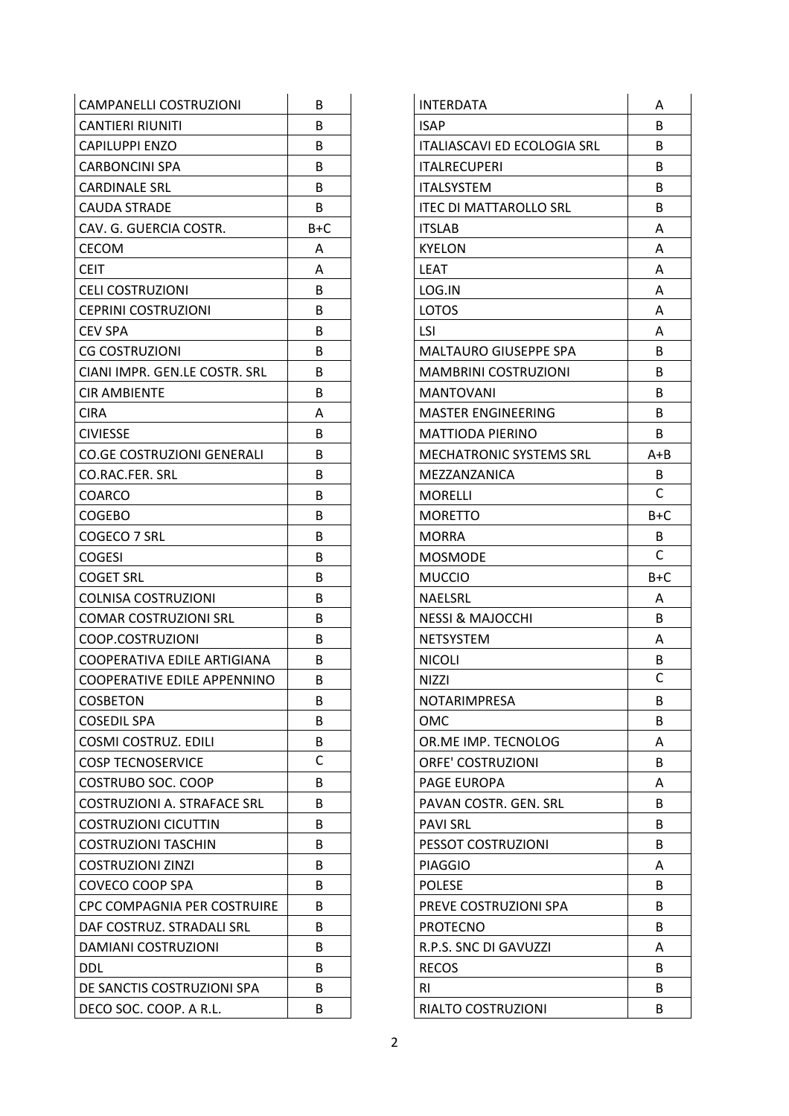| <b>CAMPANELLI COSTRUZIONI</b>      | B            | <b>INTERDATA</b>                   | A            |
|------------------------------------|--------------|------------------------------------|--------------|
| <b>CANTIERI RIUNITI</b>            | B            | <b>ISAP</b>                        | B            |
| <b>CAPILUPPI ENZO</b>              | B            | <b>ITALIASCAVI ED ECOLOGIA SRL</b> | B            |
| <b>CARBONCINI SPA</b>              | B            | <b>ITALRECUPERI</b>                | B            |
| <b>CARDINALE SRL</b>               | B            | <b>ITALSYSTEM</b>                  | B            |
| <b>CAUDA STRADE</b>                | B            | <b>ITEC DI MATTAROLLO SRL</b>      | B            |
| CAV. G. GUERCIA COSTR.             | $B+C$        | <b>ITSLAB</b>                      | A            |
| <b>CECOM</b>                       | A            | <b>KYELON</b>                      | A            |
| <b>CEIT</b>                        | A            | <b>LEAT</b>                        | A            |
| <b>CELI COSTRUZIONI</b>            | B            | LOG.IN                             | A            |
| <b>CEPRINI COSTRUZIONI</b>         | B            | <b>LOTOS</b>                       | A            |
| <b>CEV SPA</b>                     | B            | <b>LSI</b>                         | A            |
| <b>CG COSTRUZIONI</b>              | B            | <b>MALTAURO GIUSEPPE SPA</b>       | B            |
| CIANI IMPR. GEN.LE COSTR. SRL      | B            | <b>MAMBRINI COSTRUZIONI</b>        | B            |
| <b>CIR AMBIENTE</b>                | B            | <b>MANTOVANI</b>                   | B            |
| <b>CIRA</b>                        | Α            | <b>MASTER ENGINEERING</b>          | B            |
| <b>CIVIESSE</b>                    | B            | <b>MATTIODA PIERINO</b>            | B            |
| <b>CO.GE COSTRUZIONI GENERALI</b>  | B            | <b>MECHATRONIC SYSTEMS SRL</b>     | $A + B$      |
| CO.RAC.FER. SRL                    | B            | MEZZANZANICA                       | B            |
| <b>COARCO</b>                      | B            | <b>MORELLI</b>                     | $\mathsf{C}$ |
| <b>COGEBO</b>                      | B            | <b>MORETTO</b>                     | $B+C$        |
| COGECO 7 SRL                       | B            | <b>MORRA</b>                       | B            |
| <b>COGESI</b>                      | B            | <b>MOSMODE</b>                     | $\mathsf{C}$ |
| <b>COGET SRL</b>                   | B            | <b>MUCCIO</b>                      | $B+C$        |
| <b>COLNISA COSTRUZIONI</b>         | B            | <b>NAELSRL</b>                     | A            |
| <b>COMAR COSTRUZIONI SRL</b>       | B            | <b>NESSI &amp; MAJOCCHI</b>        | B            |
| COOP.COSTRUZIONI                   | B            | <b>NETSYSTEM</b>                   | A            |
| COOPERATIVA EDILE ARTIGIANA        | B            | <b>NICOLI</b>                      | B            |
| <b>COOPERATIVE EDILE APPENNINO</b> | B            | <b>NIZZI</b>                       | $\mathsf{C}$ |
| <b>COSBETON</b>                    | B            | <b>NOTARIMPRESA</b>                | B            |
| <b>COSEDIL SPA</b>                 | B            | OMC                                | B            |
| <b>COSMI COSTRUZ. EDILI</b>        | B            | OR.ME IMP. TECNOLOG                | Α            |
| <b>COSP TECNOSERVICE</b>           | $\mathsf{C}$ | <b>ORFE' COSTRUZIONI</b>           | B            |
| COSTRUBO SOC. COOP                 | B            | PAGE EUROPA                        | Α            |
| <b>COSTRUZIONI A. STRAFACE SRL</b> | B            | PAVAN COSTR. GEN. SRL              | B            |
| <b>COSTRUZIONI CICUTTIN</b>        | B            | <b>PAVI SRL</b>                    | B            |
| <b>COSTRUZIONI TASCHIN</b>         | B            | PESSOT COSTRUZIONI                 | B            |
| <b>COSTRUZIONI ZINZI</b>           | B            | <b>PIAGGIO</b>                     | A            |
| <b>COVECO COOP SPA</b>             | B            | <b>POLESE</b>                      | B            |
| CPC COMPAGNIA PER COSTRUIRE        | B            | PREVE COSTRUZIONI SPA              | B            |
| DAF COSTRUZ. STRADALI SRL          | B            | <b>PROTECNO</b>                    | B            |
| DAMIANI COSTRUZIONI                | B            | R.P.S. SNC DI GAVUZZI              | Α            |
| <b>DDL</b>                         | B            | <b>RECOS</b>                       | B            |
| DE SANCTIS COSTRUZIONI SPA         | B            | <b>RI</b>                          | B            |
| DECO SOC. COOP. A R.L.             | B            | RIALTO COSTRUZIONI                 | B            |

| INTERDATA                          | Α       |
|------------------------------------|---------|
| <b>ISAP</b>                        | В       |
| <b>ITALIASCAVI ED ECOLOGIA SRL</b> | B       |
| <b>ITALRECUPERI</b>                | B       |
| <b>ITALSYSTEM</b>                  | B       |
| <b>ITEC DI MATTAROLLO SRL</b>      | B       |
| <b>ITSLAB</b>                      | A       |
| <b>KYELON</b>                      | A       |
| <b>LEAT</b>                        | А       |
| LOG.IN                             | A       |
| <b>LOTOS</b>                       | А       |
| LSI                                | А       |
| MALTAURO GIUSEPPE SPA              | B       |
| <b>MAMBRINI COSTRUZIONI</b>        | B       |
| <b>MANTOVANI</b>                   | B       |
| MASTER ENGINEERING                 | B       |
| <b>MATTIODA PIERINO</b>            | B       |
| <b>MECHATRONIC SYSTEMS SRL</b>     | $A + B$ |
| MEZZANZANICA                       | B       |
| MORELLI                            | C       |
| MORETTO                            | $B+C$   |
| MORRA                              | B       |
| <b>MOSMODE</b>                     | C       |
| <b>MUCCIO</b>                      | B+C     |
| NAELSRL                            | A       |
| <b>NESSI &amp; MAJOCCHI</b>        | B       |
| <b>NETSYSTEM</b>                   | A       |
| <b>NICOLI</b>                      | В       |
| NIZZI                              | С       |
| NOTARIMPRESA                       | B       |
| OMC                                | В       |
| OR.ME IMP. TECNOLOG                | А       |
| <b>ORFE' COSTRUZIONI</b>           | B       |
| PAGE EUROPA                        | А       |
| PAVAN COSTR. GEN. SRL              | B       |
| <b>PAVI SRL</b>                    | B       |
| PESSOT COSTRUZIONI                 | B       |
| <b>PIAGGIO</b>                     | Α       |
| <b>POLESE</b>                      | B       |
| PREVE COSTRUZIONI SPA              | B       |
| <b>PROTECNO</b>                    | B       |
| R.P.S. SNC DI GAVUZZI              | A       |
| <b>RECOS</b>                       | B       |
| RI                                 | B       |
| RIALTO COSTRUZIONI                 | B       |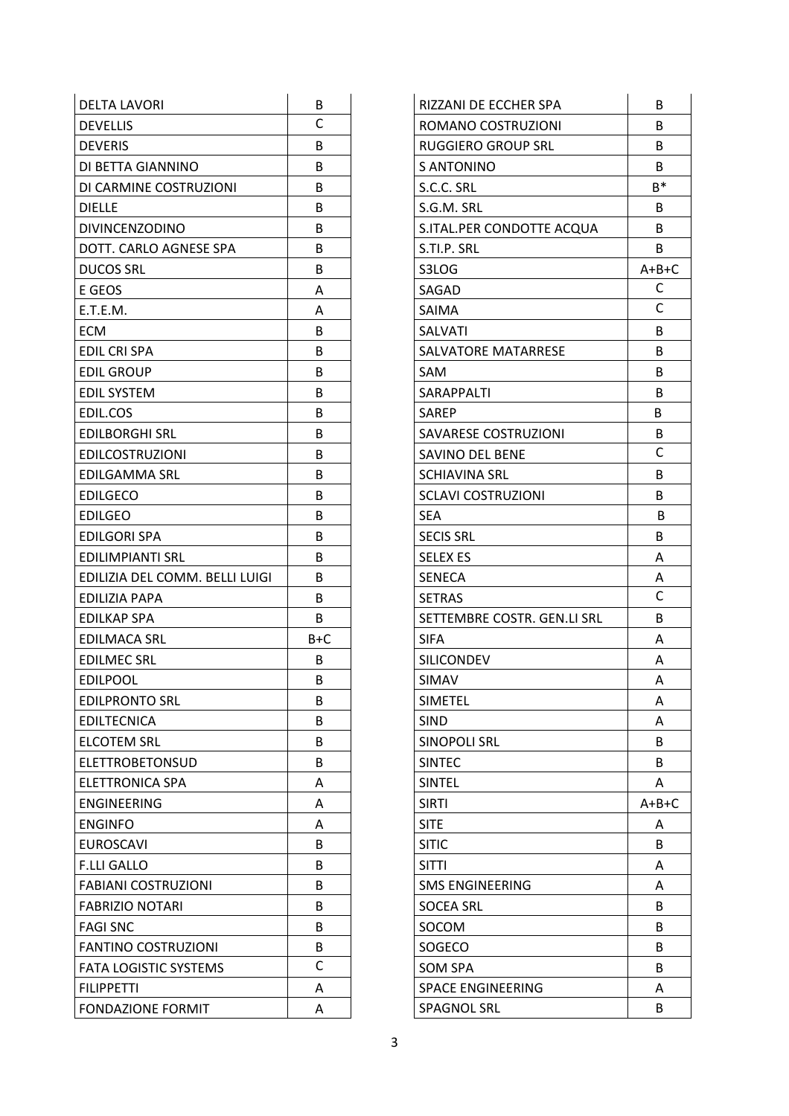| <b>DELTA LAVORI</b>            | B     | RIZZANI DE ECCHER SPA       | B            |
|--------------------------------|-------|-----------------------------|--------------|
| <b>DEVELLIS</b>                | C     | ROMANO COSTRUZIONI          | B            |
| <b>DEVERIS</b>                 | B     | <b>RUGGIERO GROUP SRL</b>   | B            |
| DI BETTA GIANNINO              | B     | S ANTONINO                  | B            |
| DI CARMINE COSTRUZIONI         | B     | S.C.C. SRL                  | $B^*$        |
| <b>DIELLE</b>                  | B     | S.G.M. SRL                  | B            |
| <b>DIVINCENZODINO</b>          | B     | S.ITAL.PER CONDOTTE ACQUA   | B            |
| DOTT. CARLO AGNESE SPA         | B     | S.TI.P. SRL                 | B            |
| <b>DUCOS SRL</b>               | B     | S3LOG                       | $A+B+C$      |
| E GEOS                         | A     | SAGAD                       | C            |
| E.T.E.M.                       | A     | <b>SAIMA</b>                | C            |
| <b>ECM</b>                     | B     | <b>SALVATI</b>              | B            |
| <b>EDIL CRI SPA</b>            | B     | SALVATORE MATARRESE         | B            |
| <b>EDIL GROUP</b>              | B     | <b>SAM</b>                  | B            |
| <b>EDIL SYSTEM</b>             | B     | SARAPPALTI                  | B            |
| EDIL.COS                       | B     | <b>SAREP</b>                | B            |
| <b>EDILBORGHI SRL</b>          | B     | SAVARESE COSTRUZIONI        | B            |
| <b>EDILCOSTRUZIONI</b>         | B     | SAVINO DEL BENE             | $\mathsf{C}$ |
| <b>EDILGAMMA SRL</b>           | B     | <b>SCHIAVINA SRL</b>        | B            |
| <b>EDILGECO</b>                | B     | <b>SCLAVI COSTRUZIONI</b>   | B            |
| <b>EDILGEO</b>                 | B     | <b>SEA</b>                  | B            |
| <b>EDILGORI SPA</b>            | B     | <b>SECIS SRL</b>            | B            |
| <b>EDILIMPIANTI SRL</b>        | B     | <b>SELEX ES</b>             | Α            |
| EDILIZIA DEL COMM. BELLI LUIGI | B     | <b>SENECA</b>               | Α            |
| EDILIZIA PAPA                  | B     | <b>SETRAS</b>               | $\mathsf{C}$ |
| <b>EDILKAP SPA</b>             | B     | SETTEMBRE COSTR. GEN.LI SRL | B            |
| <b>EDILMACA SRL</b>            | $B+C$ | <b>SIFA</b>                 | A            |
| <b>EDILMEC SRL</b>             | B     | <b>SILICONDEV</b>           | Α            |
| <b>EDILPOOL</b>                | B     | SIMAV                       | A            |
| <b>EDILPRONTO SRL</b>          | B     | <b>SIMETEL</b>              | A            |
| <b>EDILTECNICA</b>             | B     | <b>SIND</b>                 | A            |
| <b>ELCOTEM SRL</b>             | B     | <b>SINOPOLI SRL</b>         | B            |
| <b>ELETTROBETONSUD</b>         | B     | <b>SINTEC</b>               | B            |
| <b>ELETTRONICA SPA</b>         | А     | <b>SINTEL</b>               | A            |
| <b>ENGINEERING</b>             | A     | <b>SIRTI</b>                | $A+B+C$      |
| <b>ENGINFO</b>                 | A     | <b>SITE</b>                 | A            |
| <b>EUROSCAVI</b>               | B     | <b>SITIC</b>                | B            |
| <b>F.LLI GALLO</b>             | B     | <b>SITTI</b>                | A            |
| <b>FABIANI COSTRUZIONI</b>     | B     | <b>SMS ENGINEERING</b>      | A            |
| <b>FABRIZIO NOTARI</b>         | B     | <b>SOCEA SRL</b>            | B            |
| <b>FAGI SNC</b>                | B     | SOCOM                       | B            |
| <b>FANTINO COSTRUZIONI</b>     | B     | SOGECO                      | B            |
| <b>FATA LOGISTIC SYSTEMS</b>   | C     | SOM SPA                     | B            |
| <b>FILIPPETTI</b>              | Α     | <b>SPACE ENGINEERING</b>    | Α            |
| <b>FONDAZIONE FORMIT</b>       | Α     | <b>SPAGNOL SRL</b>          | B            |

| ROMANO COSTRUZIONI<br>В<br>RUGGIERO GROUP SRL<br>B<br><b>S ANTONINO</b><br>B<br>B*<br>S.C.C. SRL<br>S.G.M. SRL<br>B<br>S.ITAL.PER CONDOTTE ACQUA<br>B<br>S.TI.P. SRL<br>B<br>$A+B+C$<br>S3LOG<br>С<br>SAGAD<br>C<br>SAIMA<br><b>SALVATI</b><br>B<br>SALVATORE MATARRESE<br>B<br>SAM<br>B<br>SARAPPALTI<br>B<br><b>SAREP</b><br>В<br>SAVARESE COSTRUZIONI<br>B<br>C<br>SAVINO DEL BENE<br><b>SCHIAVINA SRL</b><br>B<br><b>SCLAVI COSTRUZIONI</b><br>В<br><b>SEA</b><br>В<br><b>SECIS SRL</b><br>В<br><b>SELEX ES</b><br>А<br><b>SENECA</b><br>Α<br>C<br><b>SETRAS</b><br>SETTEMBRE COSTR. GEN.LI SRL<br>B<br><b>SIFA</b><br>Α<br><b>SILICONDEV</b><br>А<br>SIMAV<br>А<br><b>SIMETEL</b><br>Α<br><b>SIND</b><br>А<br><b>SINOPOLI SRL</b><br>B<br><b>SINTEC</b><br>B<br><b>SINTEL</b><br>Α<br>A+B+C<br><b>SIRTI</b><br><b>SITE</b><br>Α<br><b>SITIC</b><br>B<br><b>SITTI</b><br>Α<br><b>SMS ENGINEERING</b><br>Α<br><b>SOCEA SRL</b><br>B<br>SOCOM<br>B<br>SOGECO<br>B<br><b>SOM SPA</b><br>B<br><b>SPACE ENGINEERING</b><br>А<br>SPAGNOL SRL<br>B | RIZZANI DE ECCHER SPA | B |
|-------------------------------------------------------------------------------------------------------------------------------------------------------------------------------------------------------------------------------------------------------------------------------------------------------------------------------------------------------------------------------------------------------------------------------------------------------------------------------------------------------------------------------------------------------------------------------------------------------------------------------------------------------------------------------------------------------------------------------------------------------------------------------------------------------------------------------------------------------------------------------------------------------------------------------------------------------------------------------------------------------------------------------------------------|-----------------------|---|
|                                                                                                                                                                                                                                                                                                                                                                                                                                                                                                                                                                                                                                                                                                                                                                                                                                                                                                                                                                                                                                                 |                       |   |
|                                                                                                                                                                                                                                                                                                                                                                                                                                                                                                                                                                                                                                                                                                                                                                                                                                                                                                                                                                                                                                                 |                       |   |
|                                                                                                                                                                                                                                                                                                                                                                                                                                                                                                                                                                                                                                                                                                                                                                                                                                                                                                                                                                                                                                                 |                       |   |
|                                                                                                                                                                                                                                                                                                                                                                                                                                                                                                                                                                                                                                                                                                                                                                                                                                                                                                                                                                                                                                                 |                       |   |
|                                                                                                                                                                                                                                                                                                                                                                                                                                                                                                                                                                                                                                                                                                                                                                                                                                                                                                                                                                                                                                                 |                       |   |
|                                                                                                                                                                                                                                                                                                                                                                                                                                                                                                                                                                                                                                                                                                                                                                                                                                                                                                                                                                                                                                                 |                       |   |
|                                                                                                                                                                                                                                                                                                                                                                                                                                                                                                                                                                                                                                                                                                                                                                                                                                                                                                                                                                                                                                                 |                       |   |
|                                                                                                                                                                                                                                                                                                                                                                                                                                                                                                                                                                                                                                                                                                                                                                                                                                                                                                                                                                                                                                                 |                       |   |
|                                                                                                                                                                                                                                                                                                                                                                                                                                                                                                                                                                                                                                                                                                                                                                                                                                                                                                                                                                                                                                                 |                       |   |
|                                                                                                                                                                                                                                                                                                                                                                                                                                                                                                                                                                                                                                                                                                                                                                                                                                                                                                                                                                                                                                                 |                       |   |
|                                                                                                                                                                                                                                                                                                                                                                                                                                                                                                                                                                                                                                                                                                                                                                                                                                                                                                                                                                                                                                                 |                       |   |
|                                                                                                                                                                                                                                                                                                                                                                                                                                                                                                                                                                                                                                                                                                                                                                                                                                                                                                                                                                                                                                                 |                       |   |
|                                                                                                                                                                                                                                                                                                                                                                                                                                                                                                                                                                                                                                                                                                                                                                                                                                                                                                                                                                                                                                                 |                       |   |
|                                                                                                                                                                                                                                                                                                                                                                                                                                                                                                                                                                                                                                                                                                                                                                                                                                                                                                                                                                                                                                                 |                       |   |
|                                                                                                                                                                                                                                                                                                                                                                                                                                                                                                                                                                                                                                                                                                                                                                                                                                                                                                                                                                                                                                                 |                       |   |
|                                                                                                                                                                                                                                                                                                                                                                                                                                                                                                                                                                                                                                                                                                                                                                                                                                                                                                                                                                                                                                                 |                       |   |
|                                                                                                                                                                                                                                                                                                                                                                                                                                                                                                                                                                                                                                                                                                                                                                                                                                                                                                                                                                                                                                                 |                       |   |
|                                                                                                                                                                                                                                                                                                                                                                                                                                                                                                                                                                                                                                                                                                                                                                                                                                                                                                                                                                                                                                                 |                       |   |
|                                                                                                                                                                                                                                                                                                                                                                                                                                                                                                                                                                                                                                                                                                                                                                                                                                                                                                                                                                                                                                                 |                       |   |
|                                                                                                                                                                                                                                                                                                                                                                                                                                                                                                                                                                                                                                                                                                                                                                                                                                                                                                                                                                                                                                                 |                       |   |
|                                                                                                                                                                                                                                                                                                                                                                                                                                                                                                                                                                                                                                                                                                                                                                                                                                                                                                                                                                                                                                                 |                       |   |
|                                                                                                                                                                                                                                                                                                                                                                                                                                                                                                                                                                                                                                                                                                                                                                                                                                                                                                                                                                                                                                                 |                       |   |
|                                                                                                                                                                                                                                                                                                                                                                                                                                                                                                                                                                                                                                                                                                                                                                                                                                                                                                                                                                                                                                                 |                       |   |
|                                                                                                                                                                                                                                                                                                                                                                                                                                                                                                                                                                                                                                                                                                                                                                                                                                                                                                                                                                                                                                                 |                       |   |
|                                                                                                                                                                                                                                                                                                                                                                                                                                                                                                                                                                                                                                                                                                                                                                                                                                                                                                                                                                                                                                                 |                       |   |
|                                                                                                                                                                                                                                                                                                                                                                                                                                                                                                                                                                                                                                                                                                                                                                                                                                                                                                                                                                                                                                                 |                       |   |
|                                                                                                                                                                                                                                                                                                                                                                                                                                                                                                                                                                                                                                                                                                                                                                                                                                                                                                                                                                                                                                                 |                       |   |
|                                                                                                                                                                                                                                                                                                                                                                                                                                                                                                                                                                                                                                                                                                                                                                                                                                                                                                                                                                                                                                                 |                       |   |
|                                                                                                                                                                                                                                                                                                                                                                                                                                                                                                                                                                                                                                                                                                                                                                                                                                                                                                                                                                                                                                                 |                       |   |
|                                                                                                                                                                                                                                                                                                                                                                                                                                                                                                                                                                                                                                                                                                                                                                                                                                                                                                                                                                                                                                                 |                       |   |
|                                                                                                                                                                                                                                                                                                                                                                                                                                                                                                                                                                                                                                                                                                                                                                                                                                                                                                                                                                                                                                                 |                       |   |
|                                                                                                                                                                                                                                                                                                                                                                                                                                                                                                                                                                                                                                                                                                                                                                                                                                                                                                                                                                                                                                                 |                       |   |
|                                                                                                                                                                                                                                                                                                                                                                                                                                                                                                                                                                                                                                                                                                                                                                                                                                                                                                                                                                                                                                                 |                       |   |
|                                                                                                                                                                                                                                                                                                                                                                                                                                                                                                                                                                                                                                                                                                                                                                                                                                                                                                                                                                                                                                                 |                       |   |
|                                                                                                                                                                                                                                                                                                                                                                                                                                                                                                                                                                                                                                                                                                                                                                                                                                                                                                                                                                                                                                                 |                       |   |
|                                                                                                                                                                                                                                                                                                                                                                                                                                                                                                                                                                                                                                                                                                                                                                                                                                                                                                                                                                                                                                                 |                       |   |
|                                                                                                                                                                                                                                                                                                                                                                                                                                                                                                                                                                                                                                                                                                                                                                                                                                                                                                                                                                                                                                                 |                       |   |
|                                                                                                                                                                                                                                                                                                                                                                                                                                                                                                                                                                                                                                                                                                                                                                                                                                                                                                                                                                                                                                                 |                       |   |
|                                                                                                                                                                                                                                                                                                                                                                                                                                                                                                                                                                                                                                                                                                                                                                                                                                                                                                                                                                                                                                                 |                       |   |
|                                                                                                                                                                                                                                                                                                                                                                                                                                                                                                                                                                                                                                                                                                                                                                                                                                                                                                                                                                                                                                                 |                       |   |
|                                                                                                                                                                                                                                                                                                                                                                                                                                                                                                                                                                                                                                                                                                                                                                                                                                                                                                                                                                                                                                                 |                       |   |
|                                                                                                                                                                                                                                                                                                                                                                                                                                                                                                                                                                                                                                                                                                                                                                                                                                                                                                                                                                                                                                                 |                       |   |
|                                                                                                                                                                                                                                                                                                                                                                                                                                                                                                                                                                                                                                                                                                                                                                                                                                                                                                                                                                                                                                                 |                       |   |
|                                                                                                                                                                                                                                                                                                                                                                                                                                                                                                                                                                                                                                                                                                                                                                                                                                                                                                                                                                                                                                                 |                       |   |